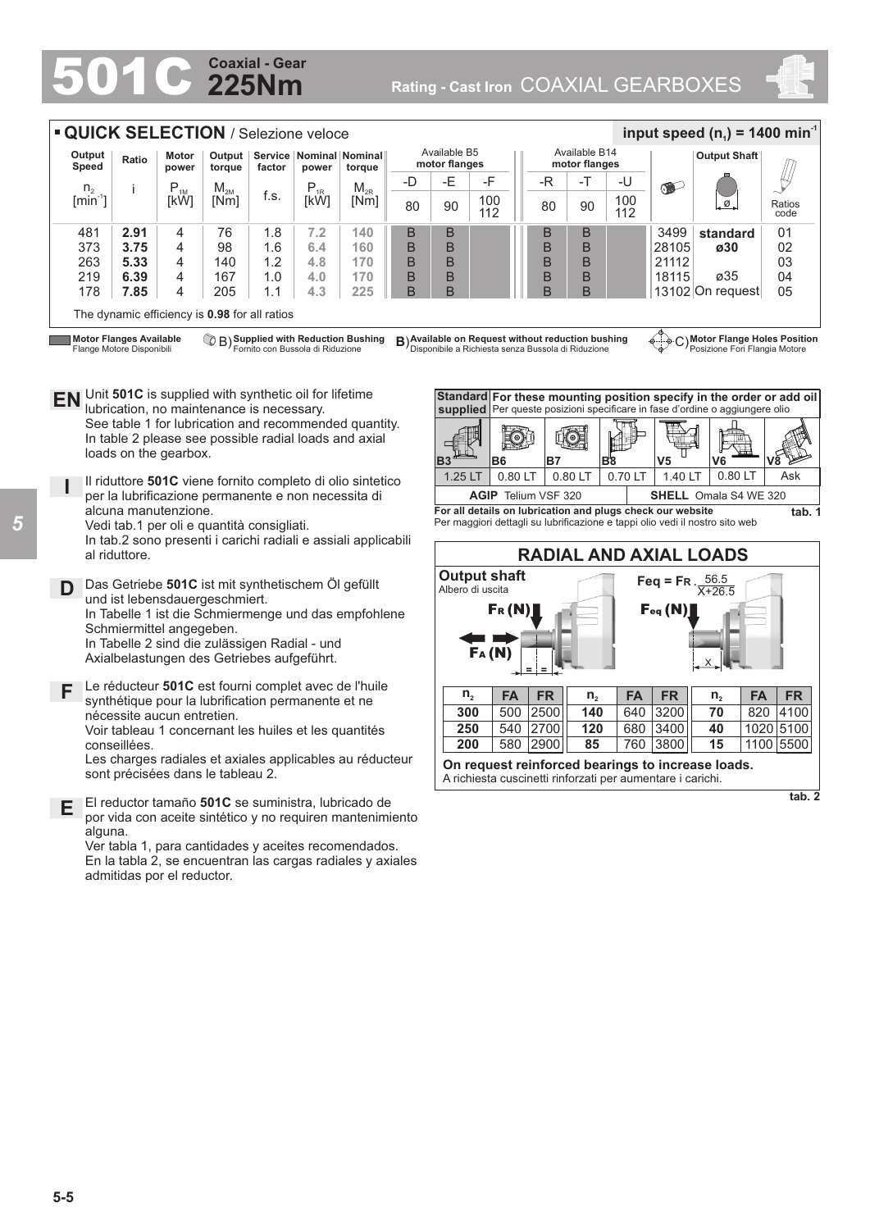### **225Nm Coaxial - Gear**

## 501C **Rating - Cast Iron** COAXIAL GEARBOXES



|                                                                                                                                                                                                                                                                                                                                                                                                                                                                                                                                                                                                                     | <b>QUICK SELECTION / Selezione veloce</b>                                                                                                                                                                                                                                       |                            |                    |            |            |                                            |        |                                                                                                                                            |                                                                                          |         |           |                                |            |                                                            | input speed ( $n_1$ ) = 1400 min <sup>-1</sup>    |           |                |
|---------------------------------------------------------------------------------------------------------------------------------------------------------------------------------------------------------------------------------------------------------------------------------------------------------------------------------------------------------------------------------------------------------------------------------------------------------------------------------------------------------------------------------------------------------------------------------------------------------------------|---------------------------------------------------------------------------------------------------------------------------------------------------------------------------------------------------------------------------------------------------------------------------------|----------------------------|--------------------|------------|------------|--------------------------------------------|--------|--------------------------------------------------------------------------------------------------------------------------------------------|------------------------------------------------------------------------------------------|---------|-----------|--------------------------------|------------|------------------------------------------------------------|---------------------------------------------------|-----------|----------------|
| Output<br>Speed                                                                                                                                                                                                                                                                                                                                                                                                                                                                                                                                                                                                     | Ratio                                                                                                                                                                                                                                                                           | Motor<br>power             | Output  <br>torque | factor     | power      | Service   Nominal   Nominal  <br>torque    |        | Available B5<br>motor flanges                                                                                                              |                                                                                          |         |           | Available B14<br>motor flanges |            |                                                            | <b>Output Shaft</b>                               |           |                |
| n <sub>2</sub>                                                                                                                                                                                                                                                                                                                                                                                                                                                                                                                                                                                                      | i                                                                                                                                                                                                                                                                               | $\mathsf{P}_{\textsc{1M}}$ | $M_{2M}$           |            | $P_{1R}$   | $M_{2R}$                                   | -D     | -E                                                                                                                                         | -F                                                                                       |         | -R        | -T                             | -U         | $\bullet$                                                  |                                                   |           |                |
| $[min^{-1}]$                                                                                                                                                                                                                                                                                                                                                                                                                                                                                                                                                                                                        |                                                                                                                                                                                                                                                                                 | [kW]                       | [Nm]               | f.s.       | [kW]       | [Nm]                                       | 80     | 90                                                                                                                                         | 100<br>112                                                                               |         | 80        | 90                             | 100<br>112 |                                                            | Ø.                                                |           | Ratios<br>code |
| 481                                                                                                                                                                                                                                                                                                                                                                                                                                                                                                                                                                                                                 | 2.91                                                                                                                                                                                                                                                                            | 4                          | 76                 | 1.8        | 7.2        | 140                                        | B      | B                                                                                                                                          |                                                                                          |         | В         | в                              |            | 3499                                                       | standard                                          |           | 01             |
| 373                                                                                                                                                                                                                                                                                                                                                                                                                                                                                                                                                                                                                 | 3.75                                                                                                                                                                                                                                                                            | 4                          | 98                 | 1.6        | 6.4        | 160                                        | B      | B                                                                                                                                          |                                                                                          |         | B         | В                              |            | 28105                                                      | ø30                                               |           | 02             |
| 263<br>219                                                                                                                                                                                                                                                                                                                                                                                                                                                                                                                                                                                                          | 5.33<br>6.39                                                                                                                                                                                                                                                                    | 4<br>4                     | 140<br>167         | 1.2<br>1.0 | 4.8<br>4.0 | 170<br>170                                 | B<br>B | B<br>B                                                                                                                                     |                                                                                          |         | B<br>B    | B<br>B                         |            | 21112<br>18115                                             | ø35                                               |           | 03<br>04       |
| 178                                                                                                                                                                                                                                                                                                                                                                                                                                                                                                                                                                                                                 | 7.85                                                                                                                                                                                                                                                                            | 4                          | 205                | 1.1        | 4.3        | 225                                        | B      | B                                                                                                                                          |                                                                                          |         | B         | B                              |            |                                                            | 13102 On request                                  |           | 05             |
|                                                                                                                                                                                                                                                                                                                                                                                                                                                                                                                                                                                                                     | The dynamic efficiency is 0.98 for all ratios                                                                                                                                                                                                                                   |                            |                    |            |            |                                            |        |                                                                                                                                            |                                                                                          |         |           |                                |            |                                                            |                                                   |           |                |
|                                                                                                                                                                                                                                                                                                                                                                                                                                                                                                                                                                                                                     | <b>Motor Flanges Available</b>                                                                                                                                                                                                                                                  |                            |                    |            |            | <b>B</b> B Supplied with Reduction Bushing |        |                                                                                                                                            |                                                                                          |         |           |                                |            |                                                            | C) Motor Flange Holes Position                    |           |                |
| B) Available on Request without reduction bushing<br>Flange Motore Disponibili<br>Fornito con Bussola di Riduzione<br>Disponibile a Richiesta senza Bussola di Riduzione<br>Posizione Fori Flangia Motore<br>EN Unit 501C is supplied with synthetic oil for lifetime<br>For these mounting position specify in the order or add oil<br><b>Standard</b><br>lubrication, no maintenance is necessary.<br>supplied Per queste posizioni specificare in fase d'ordine o aggiungere olio<br>See table 1 for lubrication and recommended quantity.<br>In table 2 please see possible radial loads and axial<br>(o)H<br>Q |                                                                                                                                                                                                                                                                                 |                            |                    |            |            |                                            |        |                                                                                                                                            |                                                                                          |         |           |                                |            |                                                            |                                                   |           |                |
|                                                                                                                                                                                                                                                                                                                                                                                                                                                                                                                                                                                                                     | loads on the gearbox.                                                                                                                                                                                                                                                           |                            |                    |            |            |                                            |        | B3                                                                                                                                         | B6                                                                                       |         | <b>B7</b> |                                | Β3         | V5                                                         | V6                                                |           |                |
|                                                                                                                                                                                                                                                                                                                                                                                                                                                                                                                                                                                                                     | Il riduttore 501C viene fornito completo di olio sintetico                                                                                                                                                                                                                      |                            |                    |            |            |                                            |        | 1.25 LT                                                                                                                                    |                                                                                          | 0.80 LT |           | 0.80 LT                        | 0.70 LT    | 1.40 LT                                                    | 0.80 LT                                           |           | Ask            |
|                                                                                                                                                                                                                                                                                                                                                                                                                                                                                                                                                                                                                     | per la lubrificazione permanente e non necessita di                                                                                                                                                                                                                             |                            |                    |            |            |                                            |        |                                                                                                                                            | AGIP Telium VSF 320                                                                      |         |           |                                |            |                                                            | <b>SHELL</b> Omala S4 WE 320                      |           |                |
|                                                                                                                                                                                                                                                                                                                                                                                                                                                                                                                                                                                                                     | alcuna manutenzione.                                                                                                                                                                                                                                                            |                            |                    |            |            |                                            |        | For all details on lubrication and plugs check our website<br>Per maggiori dettagli su lubrificazione e tappi olio vedi il nostro sito web |                                                                                          |         |           |                                |            |                                                            |                                                   | tab. 1    |                |
|                                                                                                                                                                                                                                                                                                                                                                                                                                                                                                                                                                                                                     | Vedi tab.1 per oli e quantità consigliati.                                                                                                                                                                                                                                      |                            |                    |            |            |                                            |        |                                                                                                                                            |                                                                                          |         |           |                                |            |                                                            |                                                   |           |                |
|                                                                                                                                                                                                                                                                                                                                                                                                                                                                                                                                                                                                                     | In tab.2 sono presenti i carichi radiali e assiali applicabili<br>al riduttore.                                                                                                                                                                                                 |                            |                    |            |            |                                            |        |                                                                                                                                            |                                                                                          |         |           |                                |            |                                                            | RADIAL AND AXIAL LOADS                            |           |                |
| D                                                                                                                                                                                                                                                                                                                                                                                                                                                                                                                                                                                                                   | Das Getriebe 501C ist mit synthetischem Öl gefüllt<br>und ist lebensdauergeschmiert.<br>In Tabelle 1 ist die Schmiermenge und das empfohlene<br>Schmiermittel angegeben.<br>In Tabelle 2 sind die zulässigen Radial - und<br>Axialbelastungen des Getriebes aufgeführt.         |                            |                    |            |            |                                            |        |                                                                                                                                            | <b>Output shaft</b><br>Albero di uscita<br>$\mathsf{Fr}\left(\mathsf{N}\right)$<br>FA(N) |         |           |                                |            | Feq(N)                                                     | Feq = FR $\frac{56.5}{X+26.5}$                    |           |                |
| F                                                                                                                                                                                                                                                                                                                                                                                                                                                                                                                                                                                                                   | Le réducteur 501C est fourni complet avec de l'huile                                                                                                                                                                                                                            |                            |                    |            |            |                                            |        | $n_{2}$                                                                                                                                    | <b>FA</b>                                                                                |         | <b>FR</b> | $n_{2}$                        | <b>FA</b>  | <b>FR</b>                                                  | n <sub>2</sub>                                    | <b>FA</b> | <b>FR</b>      |
|                                                                                                                                                                                                                                                                                                                                                                                                                                                                                                                                                                                                                     | synthétique pour la lubrification permanente et ne<br>nécessite aucun entretien.                                                                                                                                                                                                |                            |                    |            |            |                                            |        | 300                                                                                                                                        | 500                                                                                      |         | 2500      | 140                            | 640        | 3200                                                       | 70                                                | 820       | 4100           |
|                                                                                                                                                                                                                                                                                                                                                                                                                                                                                                                                                                                                                     | Voir tableau 1 concernant les huiles et les quantités                                                                                                                                                                                                                           |                            |                    |            |            |                                            |        | 250                                                                                                                                        | 540                                                                                      |         | 2700      | 120                            | 680        | 3400                                                       | 40                                                |           | 1020 5100      |
|                                                                                                                                                                                                                                                                                                                                                                                                                                                                                                                                                                                                                     | conseillées.                                                                                                                                                                                                                                                                    |                            |                    |            |            |                                            |        | 200                                                                                                                                        | 580                                                                                      |         | 2900      | 85                             | 760        | 3800                                                       | 15                                                |           | 1100 5500      |
|                                                                                                                                                                                                                                                                                                                                                                                                                                                                                                                                                                                                                     | Les charges radiales et axiales applicables au réducteur<br>sont précisées dans le tableau 2.                                                                                                                                                                                   |                            |                    |            |            |                                            |        |                                                                                                                                            |                                                                                          |         |           |                                |            | A richiesta cuscinetti rinforzati per aumentare i carichi. | On request reinforced bearings to increase loads. |           |                |
| Е                                                                                                                                                                                                                                                                                                                                                                                                                                                                                                                                                                                                                   | El reductor tamaño 501C se suministra, lubricado de<br>por vida con aceite sintético y no requiren mantenimiento<br>alguna.<br>Ver tabla 1, para cantidades y aceites recomendados.<br>En la tabla 2, se encuentran las cargas radiales y axiales<br>admitidas por el reductor. |                            |                    |            |            |                                            |        |                                                                                                                                            |                                                                                          |         |           |                                |            |                                                            |                                                   |           | tab. 2         |

*5*